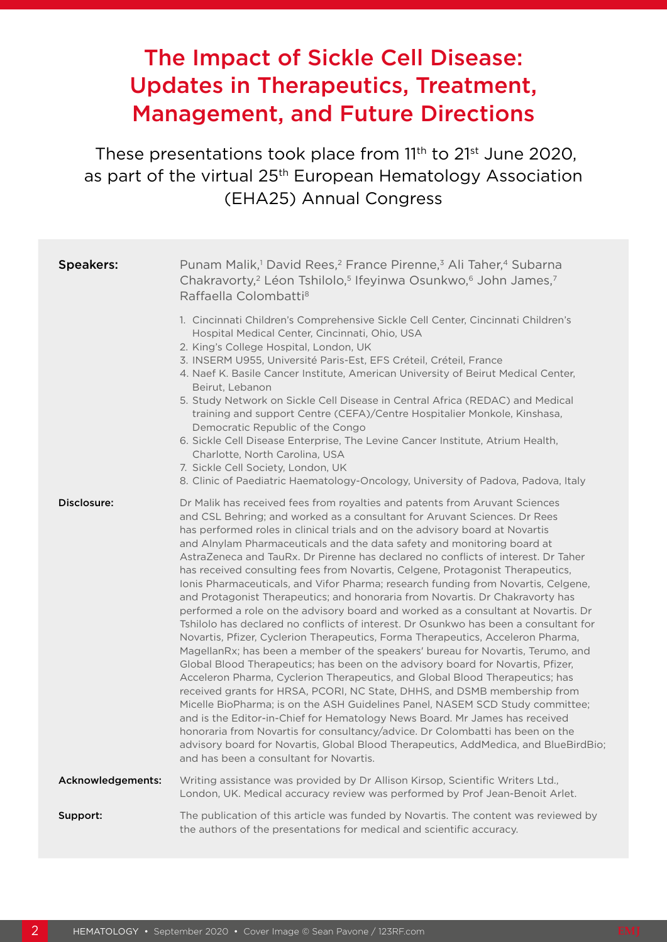# The Impact of Sickle Cell Disease: Updates in Therapeutics, Treatment, Management, and Future Directions

These presentations took place from 11<sup>th</sup> to 21<sup>st</sup> June 2020, as part of the virtual 25<sup>th</sup> European Hematology Association (EHA25) Annual Congress

| <b>Speakers:</b>  | Punam Malik, <sup>1</sup> David Rees, <sup>2</sup> France Pirenne, <sup>3</sup> Ali Taher, <sup>4</sup> Subarna<br>Chakravorty, <sup>2</sup> Léon Tshilolo, <sup>5</sup> Ifeyinwa Osunkwo, <sup>6</sup> John James, <sup>7</sup><br>Raffaella Colombatti <sup>8</sup>                                                                                                                                                                                                                                                                                                                                                                                                                                                                                                                                                                                                                                                                                                                                                                                                                                                                                                                                                                                                                                                                                                                                                                                                                                                                                                                                                                                  |
|-------------------|--------------------------------------------------------------------------------------------------------------------------------------------------------------------------------------------------------------------------------------------------------------------------------------------------------------------------------------------------------------------------------------------------------------------------------------------------------------------------------------------------------------------------------------------------------------------------------------------------------------------------------------------------------------------------------------------------------------------------------------------------------------------------------------------------------------------------------------------------------------------------------------------------------------------------------------------------------------------------------------------------------------------------------------------------------------------------------------------------------------------------------------------------------------------------------------------------------------------------------------------------------------------------------------------------------------------------------------------------------------------------------------------------------------------------------------------------------------------------------------------------------------------------------------------------------------------------------------------------------------------------------------------------------|
|                   | 1. Cincinnati Children's Comprehensive Sickle Cell Center, Cincinnati Children's<br>Hospital Medical Center, Cincinnati, Ohio, USA<br>2. King's College Hospital, London, UK<br>3. INSERM U955, Université Paris-Est, EFS Créteil, Créteil, France<br>4. Naef K. Basile Cancer Institute, American University of Beirut Medical Center,<br>Beirut, Lebanon<br>5. Study Network on Sickle Cell Disease in Central Africa (REDAC) and Medical<br>training and support Centre (CEFA)/Centre Hospitalier Monkole, Kinshasa,<br>Democratic Republic of the Congo<br>6. Sickle Cell Disease Enterprise, The Levine Cancer Institute, Atrium Health,<br>Charlotte, North Carolina, USA<br>7. Sickle Cell Society, London, UK<br>8. Clinic of Paediatric Haematology-Oncology, University of Padova, Padova, Italy                                                                                                                                                                                                                                                                                                                                                                                                                                                                                                                                                                                                                                                                                                                                                                                                                                             |
| Disclosure:       | Dr Malik has received fees from royalties and patents from Aruvant Sciences<br>and CSL Behring; and worked as a consultant for Aruvant Sciences. Dr Rees<br>has performed roles in clinical trials and on the advisory board at Novartis<br>and Alnylam Pharmaceuticals and the data safety and monitoring board at<br>AstraZeneca and TauRx. Dr Pirenne has declared no conflicts of interest. Dr Taher<br>has received consulting fees from Novartis, Celgene, Protagonist Therapeutics,<br>Ionis Pharmaceuticals, and Vifor Pharma; research funding from Novartis, Celgene,<br>and Protagonist Therapeutics; and honoraria from Novartis. Dr Chakravorty has<br>performed a role on the advisory board and worked as a consultant at Novartis. Dr<br>Tshilolo has declared no conflicts of interest. Dr Osunkwo has been a consultant for<br>Novartis, Pfizer, Cyclerion Therapeutics, Forma Therapeutics, Acceleron Pharma,<br>MagellanRx; has been a member of the speakers' bureau for Novartis, Terumo, and<br>Global Blood Therapeutics; has been on the advisory board for Novartis, Pfizer,<br>Acceleron Pharma, Cyclerion Therapeutics, and Global Blood Therapeutics; has<br>received grants for HRSA, PCORI, NC State, DHHS, and DSMB membership from<br>Micelle BioPharma; is on the ASH Guidelines Panel, NASEM SCD Study committee;<br>and is the Editor-in-Chief for Hematology News Board. Mr James has received<br>honoraria from Novartis for consultancy/advice. Dr Colombatti has been on the<br>advisory board for Novartis, Global Blood Therapeutics, AddMedica, and BlueBirdBio;<br>and has been a consultant for Novartis. |
| Acknowledgements: | Writing assistance was provided by Dr Allison Kirsop, Scientific Writers Ltd.,<br>London, UK. Medical accuracy review was performed by Prof Jean-Benoit Arlet.                                                                                                                                                                                                                                                                                                                                                                                                                                                                                                                                                                                                                                                                                                                                                                                                                                                                                                                                                                                                                                                                                                                                                                                                                                                                                                                                                                                                                                                                                         |
| Support:          | The publication of this article was funded by Novartis. The content was reviewed by<br>the authors of the presentations for medical and scientific accuracy.                                                                                                                                                                                                                                                                                                                                                                                                                                                                                                                                                                                                                                                                                                                                                                                                                                                                                                                                                                                                                                                                                                                                                                                                                                                                                                                                                                                                                                                                                           |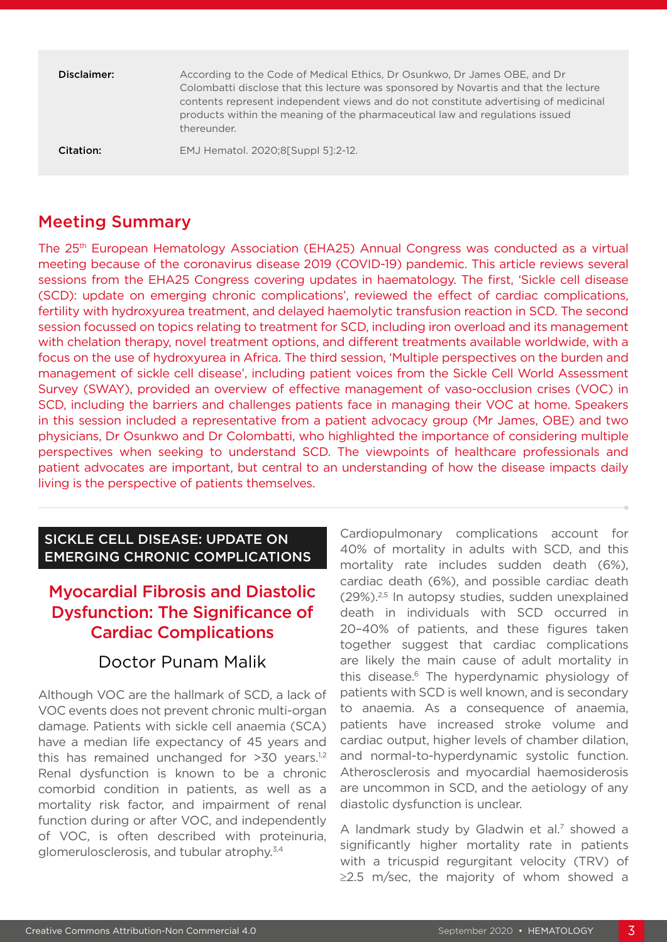| Disclaimer: | According to the Code of Medical Ethics, Dr Osunkwo, Dr James OBE, and Dr<br>Colombatti disclose that this lecture was sponsored by Novartis and that the lecture<br>contents represent independent views and do not constitute advertising of medicinal<br>products within the meaning of the pharmaceutical law and regulations issued<br>thereunder. |
|-------------|---------------------------------------------------------------------------------------------------------------------------------------------------------------------------------------------------------------------------------------------------------------------------------------------------------------------------------------------------------|
| Citation:   | EMJ Hematol. 2020;8[Suppl 5]:2-12.                                                                                                                                                                                                                                                                                                                      |

# Meeting Summary

The 25th European Hematology Association (EHA25) Annual Congress was conducted as a virtual meeting because of the coronavirus disease 2019 (COVID-19) pandemic. This article reviews several sessions from the EHA25 Congress covering updates in haematology. The first, 'Sickle cell disease (SCD): update on emerging chronic complications', reviewed the effect of cardiac complications, fertility with hydroxyurea treatment, and delayed haemolytic transfusion reaction in SCD. The second session focussed on topics relating to treatment for SCD, including iron overload and its management with chelation therapy, novel treatment options, and different treatments available worldwide, with a focus on the use of hydroxyurea in Africa. The third session, 'Multiple perspectives on the burden and management of sickle cell disease', including patient voices from the Sickle Cell World Assessment Survey (SWAY), provided an overview of effective management of vaso-occlusion crises (VOC) in SCD, including the barriers and challenges patients face in managing their VOC at home. Speakers in this session included a representative from a patient advocacy group (Mr James, OBE) and two physicians, Dr Osunkwo and Dr Colombatti, who highlighted the importance of considering multiple perspectives when seeking to understand SCD. The viewpoints of healthcare professionals and patient advocates are important, but central to an understanding of how the disease impacts daily living is the perspective of patients themselves.

#### SICKLE CELL DISEASE: UPDATE ON EMERGING CHRONIC COMPLICATIONS

# Myocardial Fibrosis and Diastolic Dysfunction: The Significance of Cardiac Complications

### Doctor Punam Malik

Although VOC are the hallmark of SCD, a lack of VOC events does not prevent chronic multi-organ damage. Patients with sickle cell anaemia (SCA) have a median life expectancy of 45 years and this has remained unchanged for  $>30$  years.<sup>1,2</sup> Renal dysfunction is known to be a chronic comorbid condition in patients, as well as a mortality risk factor, and impairment of renal function during or after VOC, and independently of VOC, is often described with proteinuria, glomerulosclerosis, and tubular atrophy.3,4

Cardiopulmonary complications account for 40% of mortality in adults with SCD, and this mortality rate includes sudden death (6%), cardiac death (6%), and possible cardiac death  $(29\%)^{2,5}$  In autopsy studies, sudden unexplained death in individuals with SCD occurred in 20–40% of patients, and these figures taken together suggest that cardiac complications are likely the main cause of adult mortality in this disease.6 The hyperdynamic physiology of patients with SCD is well known, and is secondary to anaemia. As a consequence of anaemia, patients have increased stroke volume and cardiac output, higher levels of chamber dilation, and normal-to-hyperdynamic systolic function. Atherosclerosis and myocardial haemosiderosis are uncommon in SCD, and the aetiology of any diastolic dysfunction is unclear.

A landmark study by Gladwin et al.<sup>7</sup> showed a significantly higher mortality rate in patients with a tricuspid regurgitant velocity (TRV) of ≥2.5 m/sec, the majority of whom showed a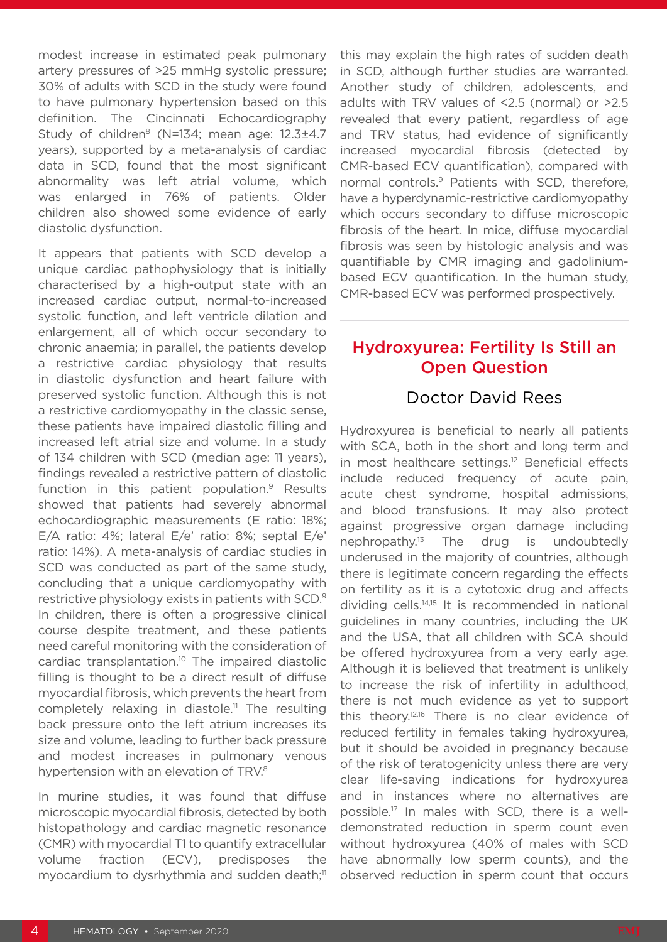modest increase in estimated peak pulmonary artery pressures of >25 mmHg systolic pressure; 30% of adults with SCD in the study were found to have pulmonary hypertension based on this definition. The Cincinnati Echocardiography Study of children<sup>8</sup> (N=134; mean age: 12.3±4.7 years), supported by a meta-analysis of cardiac data in SCD, found that the most significant abnormality was left atrial volume, which was enlarged in 76% of patients. Older children also showed some evidence of early diastolic dysfunction.

It appears that patients with SCD develop a unique cardiac pathophysiology that is initially characterised by a high-output state with an increased cardiac output, normal-to-increased systolic function, and left ventricle dilation and enlargement, all of which occur secondary to chronic anaemia; in parallel, the patients develop a restrictive cardiac physiology that results in diastolic dysfunction and heart failure with preserved systolic function. Although this is not a restrictive cardiomyopathy in the classic sense, these patients have impaired diastolic filling and increased left atrial size and volume. In a study of 134 children with SCD (median age: 11 years), findings revealed a restrictive pattern of diastolic function in this patient population.<sup>9</sup> Results showed that patients had severely abnormal echocardiographic measurements (E ratio: 18%; E/A ratio: 4%; lateral E/e' ratio: 8%; septal E/e' ratio: 14%). A meta-analysis of cardiac studies in SCD was conducted as part of the same study, concluding that a unique cardiomyopathy with restrictive physiology exists in patients with SCD.9 In children, there is often a progressive clinical course despite treatment, and these patients need careful monitoring with the consideration of cardiac transplantation.<sup>10</sup> The impaired diastolic filling is thought to be a direct result of diffuse myocardial fibrosis, which prevents the heart from completely relaxing in diastole.<sup>11</sup> The resulting back pressure onto the left atrium increases its size and volume, leading to further back pressure and modest increases in pulmonary venous hypertension with an elevation of TRV.<sup>8</sup>

In murine studies, it was found that diffuse microscopic myocardial fibrosis, detected by both histopathology and cardiac magnetic resonance (CMR) with myocardial T1 to quantify extracellular volume fraction (ECV), predisposes the myocardium to dysrhythmia and sudden death;<sup>11</sup> this may explain the high rates of sudden death in SCD, although further studies are warranted. Another study of children, adolescents, and adults with TRV values of <2.5 (normal) or >2.5 revealed that every patient, regardless of age and TRV status, had evidence of significantly increased myocardial fibrosis (detected by CMR-based ECV quantification), compared with normal controls.9 Patients with SCD, therefore, have a hyperdynamic-restrictive cardiomyopathy which occurs secondary to diffuse microscopic fibrosis of the heart. In mice, diffuse myocardial fibrosis was seen by histologic analysis and was quantifiable by CMR imaging and gadoliniumbased ECV quantification. In the human study, CMR-based ECV was performed prospectively.

# Hydroxyurea: Fertility Is Still an Open Question

### Doctor David Rees

Hydroxyurea is beneficial to nearly all patients with SCA, both in the short and long term and in most healthcare settings.<sup>12</sup> Beneficial effects include reduced frequency of acute pain, acute chest syndrome, hospital admissions, and blood transfusions. It may also protect against progressive organ damage including nephropathy.13 The drug is undoubtedly underused in the majority of countries, although there is legitimate concern regarding the effects on fertility as it is a cytotoxic drug and affects dividing cells.14,15 It is recommended in national guidelines in many countries, including the UK and the USA, that all children with SCA should be offered hydroxyurea from a very early age. Although it is believed that treatment is unlikely to increase the risk of infertility in adulthood, there is not much evidence as yet to support this theory.12,16 There is no clear evidence of reduced fertility in females taking hydroxyurea, but it should be avoided in pregnancy because of the risk of teratogenicity unless there are very clear life-saving indications for hydroxyurea and in instances where no alternatives are possible.17 In males with SCD, there is a welldemonstrated reduction in sperm count even without hydroxyurea (40% of males with SCD have abnormally low sperm counts), and the observed reduction in sperm count that occurs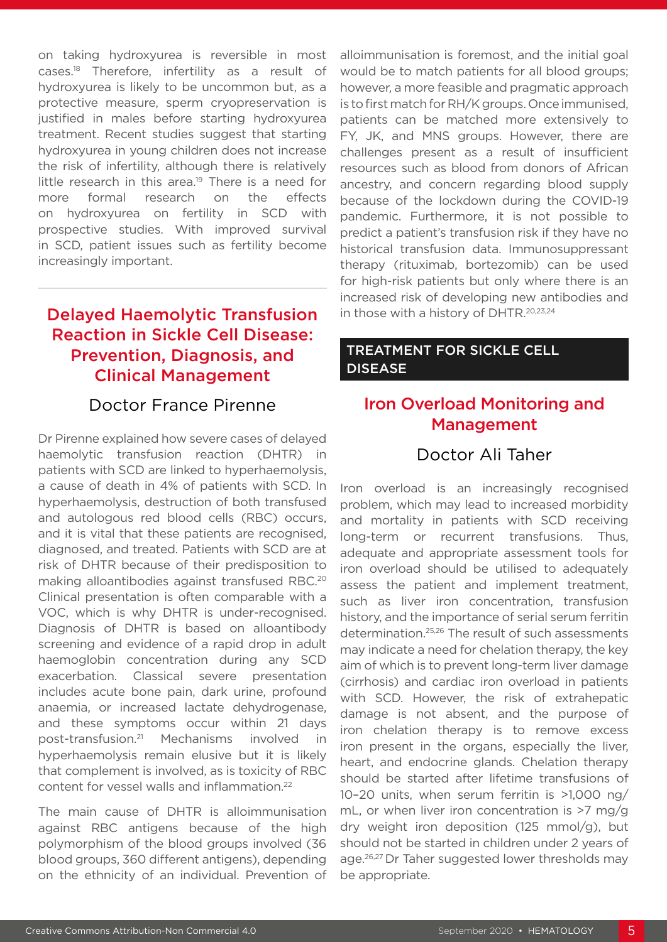on taking hydroxyurea is reversible in most cases.18 Therefore, infertility as a result of hydroxyurea is likely to be uncommon but, as a protective measure, sperm cryopreservation is justified in males before starting hydroxyurea treatment. Recent studies suggest that starting hydroxyurea in young children does not increase the risk of infertility, although there is relatively little research in this area.<sup>19</sup> There is a need for more formal research on the effects on hydroxyurea on fertility in SCD with prospective studies. With improved survival in SCD, patient issues such as fertility become increasingly important.

# Delayed Haemolytic Transfusion Reaction in Sickle Cell Disease: Prevention, Diagnosis, and Clinical Management

#### Doctor France Pirenne

Dr Pirenne explained how severe cases of delayed haemolytic transfusion reaction (DHTR) in patients with SCD are linked to hyperhaemolysis, a cause of death in 4% of patients with SCD. In hyperhaemolysis, destruction of both transfused and autologous red blood cells (RBC) occurs, and it is vital that these patients are recognised, diagnosed, and treated. Patients with SCD are at risk of DHTR because of their predisposition to making alloantibodies against transfused RBC.20 Clinical presentation is often comparable with a VOC, which is why DHTR is under-recognised. Diagnosis of DHTR is based on alloantibody screening and evidence of a rapid drop in adult haemoglobin concentration during any SCD exacerbation. Classical severe presentation includes acute bone pain, dark urine, profound anaemia, or increased lactate dehydrogenase, and these symptoms occur within 21 days post-transfusion.21 Mechanisms involved in hyperhaemolysis remain elusive but it is likely that complement is involved, as is toxicity of RBC content for vessel walls and inflammation.22

The main cause of DHTR is alloimmunisation against RBC antigens because of the high polymorphism of the blood groups involved (36 blood groups, 360 different antigens), depending on the ethnicity of an individual. Prevention of alloimmunisation is foremost, and the initial goal would be to match patients for all blood groups; however, a more feasible and pragmatic approach is to first match for RH/K groups. Once immunised, patients can be matched more extensively to FY, JK, and MNS groups. However, there are challenges present as a result of insufficient resources such as blood from donors of African ancestry, and concern regarding blood supply because of the lockdown during the COVID-19 pandemic. Furthermore, it is not possible to predict a patient's transfusion risk if they have no historical transfusion data. Immunosuppressant therapy (rituximab, bortezomib) can be used for high-risk patients but only where there is an increased risk of developing new antibodies and in those with a history of DHTR.20,23,24

#### TREATMENT FOR SICKLE CELL DISEASE

# Iron Overload Monitoring and Management

### Doctor Ali Taher

Iron overload is an increasingly recognised problem, which may lead to increased morbidity and mortality in patients with SCD receiving long-term or recurrent transfusions. Thus, adequate and appropriate assessment tools for iron overload should be utilised to adequately assess the patient and implement treatment, such as liver iron concentration, transfusion history, and the importance of serial serum ferritin determination.25,26 The result of such assessments may indicate a need for chelation therapy, the key aim of which is to prevent long-term liver damage (cirrhosis) and cardiac iron overload in patients with SCD. However, the risk of extrahepatic damage is not absent, and the purpose of iron chelation therapy is to remove excess iron present in the organs, especially the liver, heart, and endocrine glands. Chelation therapy should be started after lifetime transfusions of 10–20 units, when serum ferritin is >1,000 ng/ mL, or when liver iron concentration is >7 mg/g dry weight iron deposition (125 mmol/g), but should not be started in children under 2 years of age.<sup>26,27</sup> Dr Taher suggested lower thresholds may be appropriate.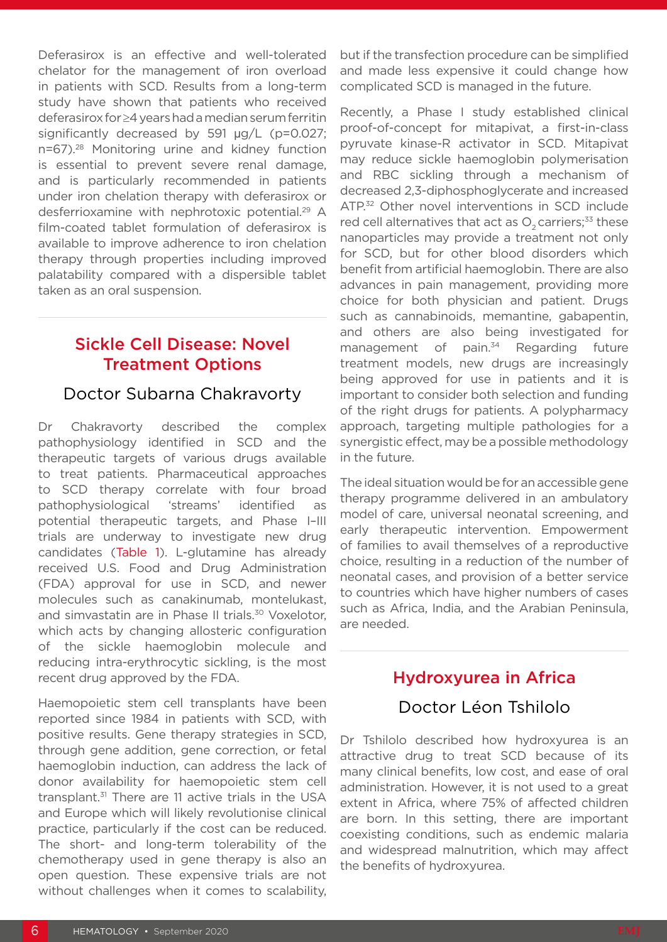Deferasirox is an effective and well-tolerated chelator for the management of iron overload in patients with SCD. Results from a long-term study have shown that patients who received deferasirox for ≥4 years had a median serum ferritin significantly decreased by 591 µg/L (p=0.027; n=67).28 Monitoring urine and kidney function is essential to prevent severe renal damage, and is particularly recommended in patients under iron chelation therapy with deferasirox or desferrioxamine with nephrotoxic potential.<sup>29</sup> A film-coated tablet formulation of deferasirox is available to improve adherence to iron chelation therapy through properties including improved palatability compared with a dispersible tablet taken as an oral suspension.

# Sickle Cell Disease: Novel Treatment Options

#### Doctor Subarna Chakravorty

Dr Chakravorty described the complex pathophysiology identified in SCD and the therapeutic targets of various drugs available to treat patients. Pharmaceutical approaches to SCD therapy correlate with four broad pathophysiological 'streams' identified as potential therapeutic targets, and Phase I–III trials are underway to investigate new drug candidates (Table 1). L-glutamine has already received U.S. Food and Drug Administration (FDA) approval for use in SCD, and newer molecules such as canakinumab, montelukast, and simvastatin are in Phase II trials.<sup>30</sup> Voxelotor, which acts by changing allosteric configuration of the sickle haemoglobin molecule and reducing intra-erythrocytic sickling, is the most recent drug approved by the FDA.

Haemopoietic stem cell transplants have been reported since 1984 in patients with SCD, with positive results. Gene therapy strategies in SCD, through gene addition, gene correction, or fetal haemoglobin induction, can address the lack of donor availability for haemopoietic stem cell transplant.31 There are 11 active trials in the USA and Europe which will likely revolutionise clinical practice, particularly if the cost can be reduced. The short- and long-term tolerability of the chemotherapy used in gene therapy is also an open question. These expensive trials are not without challenges when it comes to scalability,

but if the transfection procedure can be simplified and made less expensive it could change how complicated SCD is managed in the future.

Recently, a Phase I study established clinical proof-of-concept for mitapivat, a first-in-class pyruvate kinase-R activator in SCD. Mitapivat may reduce sickle haemoglobin polymerisation and RBC sickling through a mechanism of decreased 2,3-diphosphoglycerate and increased ATP.<sup>32</sup> Other novel interventions in SCD include red cell alternatives that act as  $O<sub>2</sub>$  carriers;<sup>33</sup> these nanoparticles may provide a treatment not only for SCD, but for other blood disorders which benefit from artificial haemoglobin. There are also advances in pain management, providing more choice for both physician and patient. Drugs such as cannabinoids, memantine, gabapentin, and others are also being investigated for management of pain.<sup>34</sup> Regarding future treatment models, new drugs are increasingly being approved for use in patients and it is important to consider both selection and funding of the right drugs for patients. A polypharmacy approach, targeting multiple pathologies for a synergistic effect, may be a possible methodology in the future.

The ideal situation would be for an accessible gene therapy programme delivered in an ambulatory model of care, universal neonatal screening, and early therapeutic intervention. Empowerment of families to avail themselves of a reproductive choice, resulting in a reduction of the number of neonatal cases, and provision of a better service to countries which have higher numbers of cases such as Africa, India, and the Arabian Peninsula, are needed.

# Hydroxyurea in Africa

### Doctor Léon Tshilolo

Dr Tshilolo described how hydroxyurea is an attractive drug to treat SCD because of its many clinical benefits, low cost, and ease of oral administration. However, it is not used to a great extent in Africa, where 75% of affected children are born. In this setting, there are important coexisting conditions, such as endemic malaria and widespread malnutrition, which may affect the benefits of hydroxyurea.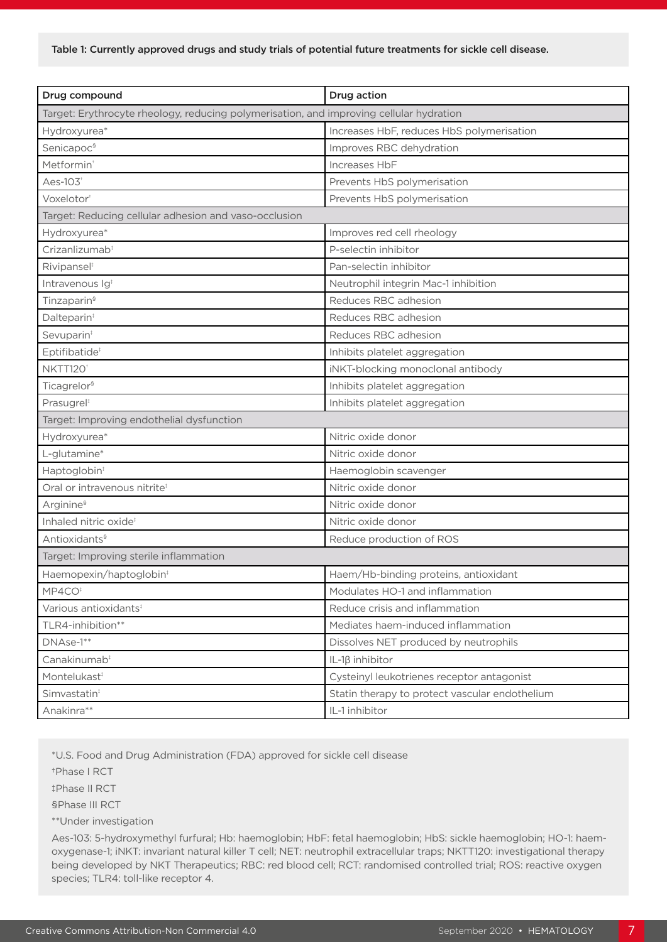| Drug compound                                                                           | Drug action                                    |  |  |
|-----------------------------------------------------------------------------------------|------------------------------------------------|--|--|
| Target: Erythrocyte rheology, reducing polymerisation, and improving cellular hydration |                                                |  |  |
| Hydroxyurea*                                                                            | Increases HbF, reduces HbS polymerisation      |  |  |
| Senicapoc <sup>§</sup>                                                                  | Improves RBC dehydration                       |  |  |
| Metformin <sup>+</sup>                                                                  | Increases HbF                                  |  |  |
| Aes-103 <sup>+</sup>                                                                    | Prevents HbS polymerisation                    |  |  |
| Voxelotor <sup>+</sup>                                                                  | Prevents HbS polymerisation                    |  |  |
| Target: Reducing cellular adhesion and vaso-occlusion                                   |                                                |  |  |
| Hydroxyurea*                                                                            | Improves red cell rheology                     |  |  |
| Crizanlizumab <sup>®</sup>                                                              | P-selectin inhibitor                           |  |  |
| Rivipansel <sup>®</sup>                                                                 | Pan-selectin inhibitor                         |  |  |
| Intravenous Ig <sup>#</sup>                                                             | Neutrophil integrin Mac-1 inhibition           |  |  |
| Tinzaparin <sup>§</sup>                                                                 | Reduces RBC adhesion                           |  |  |
| Dalteparin <sup>#</sup>                                                                 | Reduces RBC adhesion                           |  |  |
| Sevuparin <sup>®</sup>                                                                  | Reduces RBC adhesion                           |  |  |
| Eptifibatide <sup>®</sup>                                                               | Inhibits platelet aggregation                  |  |  |
| NKTT120 <sup>+</sup>                                                                    | iNKT-blocking monoclonal antibody              |  |  |
| Ticagrelor <sup>§</sup>                                                                 | Inhibits platelet aggregation                  |  |  |
| Prasugrel <sup>#</sup>                                                                  | Inhibits platelet aggregation                  |  |  |
| Target: Improving endothelial dysfunction                                               |                                                |  |  |
| Hydroxyurea*                                                                            | Nitric oxide donor                             |  |  |
| L-glutamine*                                                                            | Nitric oxide donor                             |  |  |
| Haptoglobin <sup>®</sup>                                                                | Haemoglobin scavenger                          |  |  |
| Oral or intravenous nitrite <sup>®</sup>                                                | Nitric oxide donor                             |  |  |
| Arginine <sup>§</sup>                                                                   | Nitric oxide donor                             |  |  |
| Inhaled nitric oxide <sup>#</sup>                                                       | Nitric oxide donor                             |  |  |
| Antioxidants <sup>§</sup>                                                               | Reduce production of ROS                       |  |  |
| Target: Improving sterile inflammation                                                  |                                                |  |  |
| Haemopexin/haptoglobin <sup>®</sup>                                                     | Haem/Hb-binding proteins, antioxidant          |  |  |
| MP4CO <sup>®</sup>                                                                      | Modulates HO-1 and inflammation                |  |  |
| Various antioxidants <sup>®</sup>                                                       | Reduce crisis and inflammation                 |  |  |
| TLR4-inhibition**                                                                       | Mediates haem-induced inflammation             |  |  |
| DNAse-1**                                                                               | Dissolves NET produced by neutrophils          |  |  |
| Canakinumab <sup>®</sup>                                                                | IL-1β inhibitor                                |  |  |
| Montelukast <sup>#</sup>                                                                | Cysteinyl leukotrienes receptor antagonist     |  |  |
| Simvastatin <sup>#</sup>                                                                | Statin therapy to protect vascular endothelium |  |  |
| Anakinra**                                                                              | IL-1 inhibitor                                 |  |  |

\*U.S. Food and Drug Administration (FDA) approved for sickle cell disease

†Phase I RCT

‡Phase II RCT

§Phase III RCT

\*\*Under investigation

Aes-103: 5-hydroxymethyl furfural; Hb: haemoglobin; HbF: fetal haemoglobin; HbS: sickle haemoglobin; HO-1: haemoxygenase-1; iNKT: invariant natural killer T cell; NET: neutrophil extracellular traps; NKTT120: investigational therapy being developed by NKT Therapeutics; RBC: red blood cell; RCT: randomised controlled trial; ROS: reactive oxygen species; TLR4: toll-like receptor 4.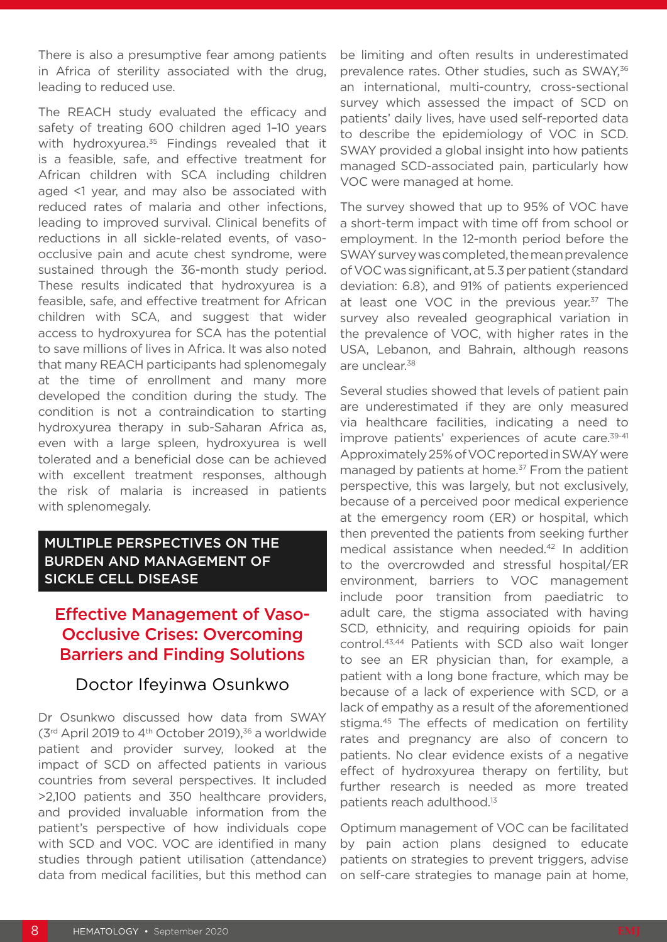There is also a presumptive fear among patients in Africa of sterility associated with the drug, leading to reduced use.

The REACH study evaluated the efficacy and safety of treating 600 children aged 1–10 years with hydroxyurea.<sup>35</sup> Findings revealed that it is a feasible, safe, and effective treatment for African children with SCA including children aged <1 year, and may also be associated with reduced rates of malaria and other infections, leading to improved survival. Clinical benefits of reductions in all sickle-related events, of vasoocclusive pain and acute chest syndrome, were sustained through the 36-month study period. These results indicated that hydroxyurea is a feasible, safe, and effective treatment for African children with SCA, and suggest that wider access to hydroxyurea for SCA has the potential to save millions of lives in Africa. It was also noted that many REACH participants had splenomegaly at the time of enrollment and many more developed the condition during the study. The condition is not a contraindication to starting hydroxyurea therapy in sub-Saharan Africa as, even with a large spleen, hydroxyurea is well tolerated and a beneficial dose can be achieved with excellent treatment responses, although the risk of malaria is increased in patients with splenomegaly.

#### MULTIPLE PERSPECTIVES ON THE BURDEN AND MANAGEMENT OF SICKLE CELL DISEASE

# Effective Management of Vaso-Occlusive Crises: Overcoming Barriers and Finding Solutions

#### Doctor Ifeyinwa Osunkwo

Dr Osunkwo discussed how data from SWAY (3rd April 2019 to 4th October 2019),36 a worldwide patient and provider survey, looked at the impact of SCD on affected patients in various countries from several perspectives. It included >2,100 patients and 350 healthcare providers, and provided invaluable information from the patient's perspective of how individuals cope with SCD and VOC. VOC are identified in many studies through patient utilisation (attendance) data from medical facilities, but this method can

be limiting and often results in underestimated prevalence rates. Other studies, such as SWAY, 36 an international, multi-country, cross-sectional survey which assessed the impact of SCD on patients' daily lives, have used self-reported data to describe the epidemiology of VOC in SCD. SWAY provided a global insight into how patients managed SCD-associated pain, particularly how VOC were managed at home.

The survey showed that up to 95% of VOC have a short-term impact with time off from school or employment. In the 12-month period before the SWAY survey was completed, the mean prevalence of VOC was significant, at 5.3 per patient (standard deviation: 6.8), and 91% of patients experienced at least one VOC in the previous year.<sup>37</sup> The survey also revealed geographical variation in the prevalence of VOC, with higher rates in the USA, Lebanon, and Bahrain, although reasons are unclear.38

Several studies showed that levels of patient pain are underestimated if they are only measured via healthcare facilities, indicating a need to improve patients' experiences of acute care.<sup>39-41</sup> Approximately 25% of VOC reported in SWAY were managed by patients at home.<sup>37</sup> From the patient perspective, this was largely, but not exclusively, because of a perceived poor medical experience at the emergency room (ER) or hospital, which then prevented the patients from seeking further medical assistance when needed.42 In addition to the overcrowded and stressful hospital/ER environment, barriers to VOC management include poor transition from paediatric to adult care, the stigma associated with having SCD, ethnicity, and requiring opioids for pain control.43,44 Patients with SCD also wait longer to see an ER physician than, for example, a patient with a long bone fracture, which may be because of a lack of experience with SCD, or a lack of empathy as a result of the aforementioned stigma.<sup>45</sup> The effects of medication on fertility rates and pregnancy are also of concern to patients. No clear evidence exists of a negative effect of hydroxyurea therapy on fertility, but further research is needed as more treated patients reach adulthood.13

Optimum management of VOC can be facilitated by pain action plans designed to educate patients on strategies to prevent triggers, advise on self-care strategies to manage pain at home,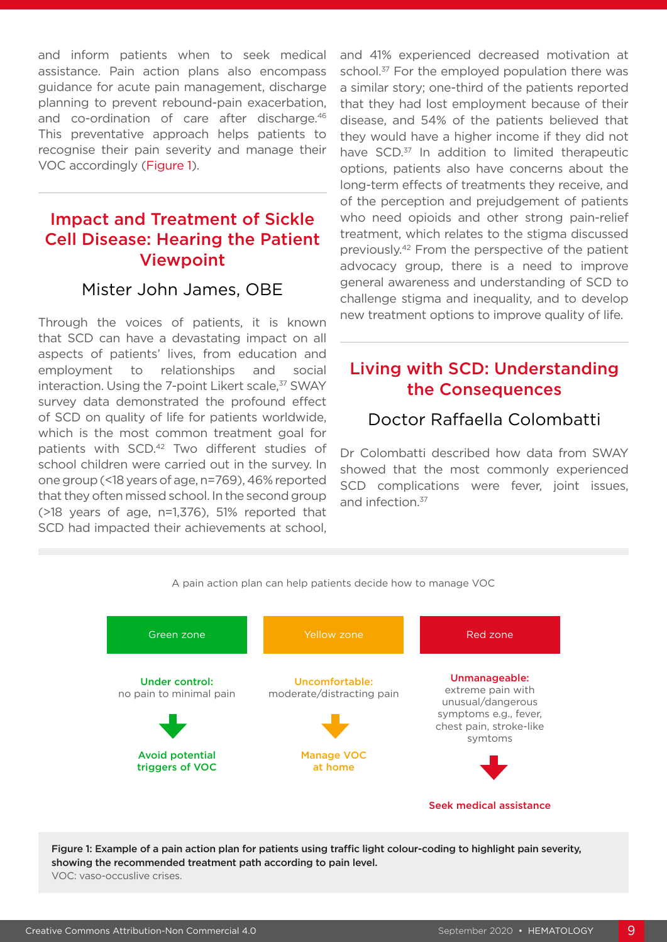and inform patients when to seek medical assistance. Pain action plans also encompass guidance for acute pain management, discharge planning to prevent rebound-pain exacerbation, and co-ordination of care after discharge.<sup>46</sup> This preventative approach helps patients to recognise their pain severity and manage their VOC accordingly (Figure 1).

# Impact and Treatment of Sickle Cell Disease: Hearing the Patient Viewpoint

### Mister John James, OBE

Through the voices of patients, it is known that SCD can have a devastating impact on all aspects of patients' lives, from education and employment to relationships and social interaction. Using the 7-point Likert scale,<sup>37</sup> SWAY survey data demonstrated the profound effect of SCD on quality of life for patients worldwide, which is the most common treatment goal for patients with SCD.42 Two different studies of school children were carried out in the survey. In one group (<18 years of age, n=769), 46% reported that they often missed school. In the second group (>18 years of age, n=1,376), 51% reported that SCD had impacted their achievements at school, and 41% experienced decreased motivation at school.<sup>37</sup> For the employed population there was a similar story; one-third of the patients reported that they had lost employment because of their disease, and 54% of the patients believed that they would have a higher income if they did not have SCD.<sup>37</sup> In addition to limited therapeutic options, patients also have concerns about the long-term effects of treatments they receive, and of the perception and prejudgement of patients who need opioids and other strong pain-relief treatment, which relates to the stigma discussed previously.42 From the perspective of the patient advocacy group, there is a need to improve general awareness and understanding of SCD to challenge stigma and inequality, and to develop new treatment options to improve quality of life.

# Living with SCD: Understanding the Consequences

#### Doctor Raffaella Colombatti

Dr Colombatti described how data from SWAY showed that the most commonly experienced SCD complications were fever, joint issues, and infection.<sup>37</sup>



Figure 1: Example of a pain action plan for patients using traffic light colour-coding to highlight pain severity, showing the recommended treatment path according to pain level. VOC: vaso-occuslive crises.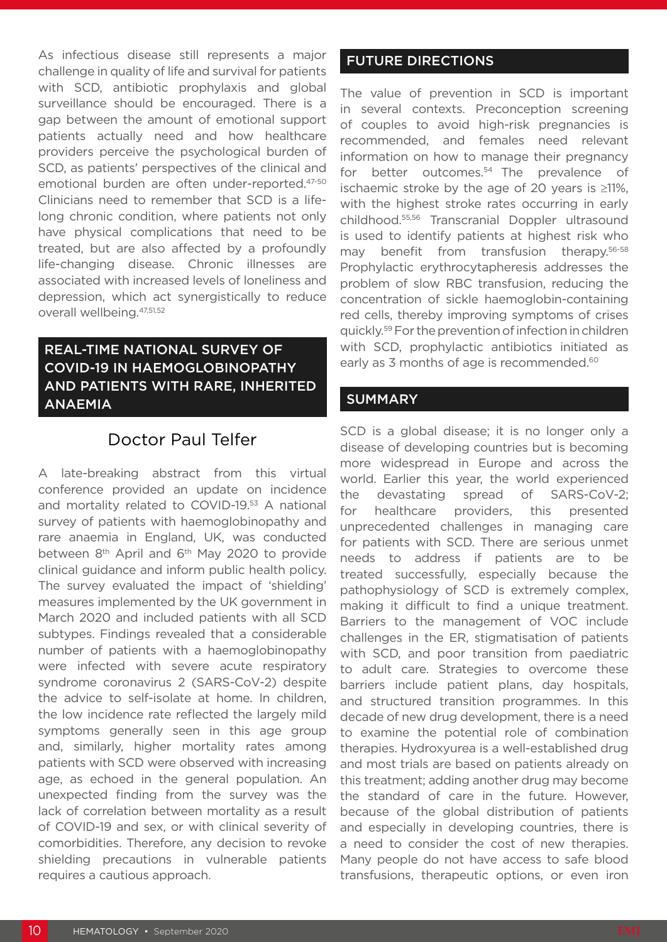As infectious disease still represents a major challenge in quality of life and survival for patients with SCD, antibiotic prophylaxis and global surveillance should be encouraged. There is a gap between the amount of emotional support patients actually need and how healthcare providers perceive the psychological burden of SCD, as patients' perspectives of the clinical and emotional burden are often under-reported.47-50 Clinicians need to remember that SCD is a lifelong chronic condition, where patients not only have physical complications that need to be treated, but are also affected by a profoundly life-changing disease. Chronic illnesses are associated with increased levels of loneliness and depression, which act synergistically to reduce overall wellbeing.47,51,52

#### REAL-TIME NATIONAL SURVEY OF COVID-19 IN HAEMOGLOBINOPATHY AND PATIENTS WITH RARE, INHERITED ANAEMIA

# Doctor Paul Telfer

A late-breaking abstract from this virtual conference provided an update on incidence and mortality related to COVID-19.53 A national survey of patients with haemoglobinopathy and rare anaemia in England, UK, was conducted between 8<sup>th</sup> April and 6<sup>th</sup> May 2020 to provide clinical guidance and inform public health policy. The survey evaluated the impact of 'shielding' measures implemented by the UK government in March 2020 and included patients with all SCD subtypes. Findings revealed that a considerable number of patients with a haemoglobinopathy were infected with severe acute respiratory syndrome coronavirus 2 (SARS-CoV-2) despite the advice to self-isolate at home. In children, the low incidence rate reflected the largely mild symptoms generally seen in this age group and, similarly, higher mortality rates among patients with SCD were observed with increasing age, as echoed in the general population. An unexpected finding from the survey was the lack of correlation between mortality as a result of COVID-19 and sex, or with clinical severity of comorbidities. Therefore, any decision to revoke shielding precautions in vulnerable patients requires a cautious approach.

#### FUTURE DIRECTIONS

The value of prevention in SCD is important in several contexts. Preconception screening of couples to avoid high-risk pregnancies is recommended, and females need relevant information on how to manage their pregnancy for better outcomes.<sup>54</sup> The prevalence of ischaemic stroke by the age of 20 years is ≥11%, with the highest stroke rates occurring in early childhood.55,56 Transcranial Doppler ultrasound is used to identify patients at highest risk who may benefit from transfusion therapy.56-58 Prophylactic erythrocytapheresis addresses the problem of slow RBC transfusion, reducing the concentration of sickle haemoglobin-containing red cells, thereby improving symptoms of crises quickly.59 For the prevention of infection in children with SCD, prophylactic antibiotics initiated as early as 3 months of age is recommended.<sup>60</sup>

#### **SUMMARY**

SCD is a global disease; it is no longer only a disease of developing countries but is becoming more widespread in Europe and across the world. Earlier this year, the world experienced the devastating spread of SARS-CoV-2; for healthcare providers, this presented unprecedented challenges in managing care for patients with SCD. There are serious unmet needs to address if patients are to be treated successfully, especially because the pathophysiology of SCD is extremely complex, making it difficult to find a unique treatment. Barriers to the management of VOC include challenges in the ER, stigmatisation of patients with SCD, and poor transition from paediatric to adult care. Strategies to overcome these barriers include patient plans, day hospitals, and structured transition programmes. In this decade of new drug development, there is a need to examine the potential role of combination therapies. Hydroxyurea is a well-established drug and most trials are based on patients already on this treatment; adding another drug may become the standard of care in the future. However, because of the global distribution of patients and especially in developing countries, there is a need to consider the cost of new therapies. Many people do not have access to safe blood transfusions, therapeutic options, or even iron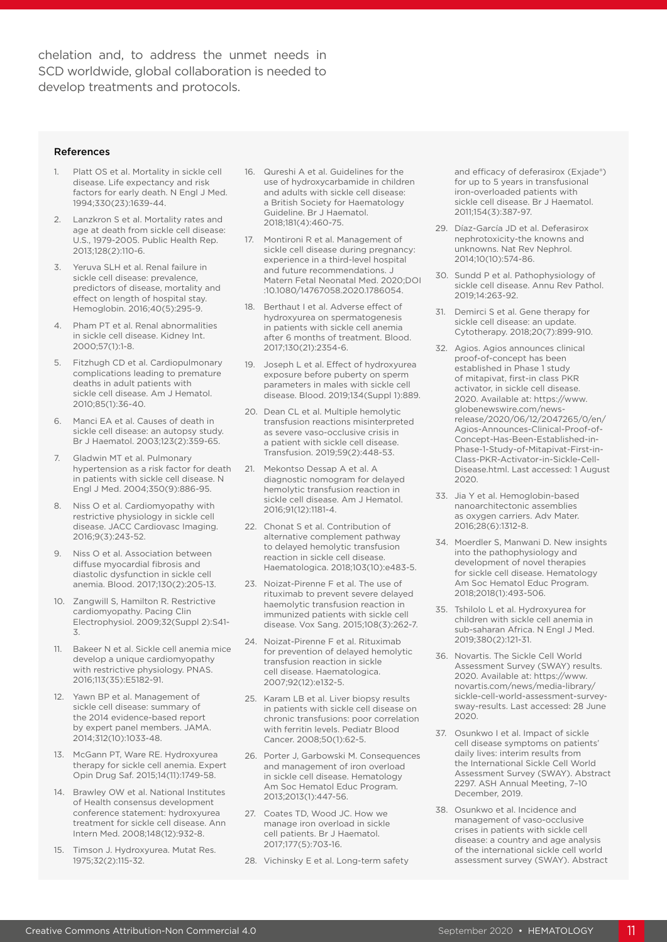chelation and, to address the unmet needs in SCD worldwide, global collaboration is needed to develop treatments and protocols.

#### References

- Platt OS et al. Mortality in sickle cell disease. Life expectancy and risk factors for early death. N Engl J Med. 1994;330(23):1639-44.
- 2. Lanzkron S et al. Mortality rates and age at death from sickle cell disease: U.S., 1979-2005. Public Health Rep. 2013;128(2):110-6.
- 3. Yeruva SLH et al. Renal failure in sickle cell disease: prevalence, predictors of disease, mortality and effect on length of hospital stay. Hemoglobin. 2016;40(5):295-9.
- 4. Pham PT et al. Renal abnormalities in sickle cell disease. Kidney Int. 2000;57(1):1-8.
- Fitzhugh CD et al. Cardiopulmonary complications leading to premature deaths in adult patients with sickle cell disease. Am J Hematol. 2010;85(1):36-40.
- Manci EA et al. Causes of death in sickle cell disease: an autopsy study. Br J Haematol. 2003;123(2):359-65.
- 7. Gladwin MT et al. Pulmonary hypertension as a risk factor for death in patients with sickle cell disease. N Engl J Med. 2004;350(9):886-95.
- 8. Niss O et al. Cardiomyopathy with restrictive physiology in sickle cell disease. JACC Cardiovasc Imaging. 2016;9(3):243-52.
- 9. Niss O et al. Association between diffuse myocardial fibrosis and diastolic dysfunction in sickle cell anemia. Blood. 2017;130(2):205-13.
- 10. Zangwill S, Hamilton R. Restrictive cardiomyopathy. Pacing Clin Electrophysiol. 2009;32(Suppl 2):S41- 3.
- 11. Bakeer N et al. Sickle cell anemia mice develop a unique cardiomyopathy with restrictive physiology. PNAS. 2016;113(35):E5182-91.
- 12. Yawn BP et al. Management of sickle cell disease: summary of the 2014 evidence-based report by expert panel members. JAMA. 2014;312(10):1033-48.
- 13. McGann PT, Ware RE. Hydroxyurea therapy for sickle cell anemia. Expert Opin Drug Saf. 2015;14(11):1749-58.
- 14. Brawley OW et al. National Institutes of Health consensus development conference statement: hydroxyurea treatment for sickle cell disease. Ann Intern Med. 2008;148(12):932-8.
- 15. Timson J. Hydroxyurea. Mutat Res. 1975;32(2):115-32.
- 16. Qureshi A et al. Guidelines for the use of hydroxycarbamide in children and adults with sickle cell disease: a British Society for Haematology Guideline. Br J Haematol. 2018;181(4):460-75.
- 17. Montironi R et al. Management of sickle cell disease during pregnancy: experience in a third-level hospital and future recommendations. J Matern Fetal Neonatal Med. 2020;DOI :10.1080/14767058.2020.1786054.
- 18. Berthaut I et al. Adverse effect of hydroxyurea on spermatogenesis in patients with sickle cell anemia after 6 months of treatment. Blood. 2017;130(21):2354-6.
- 19. Joseph L et al. Effect of hydroxyurea exposure before puberty on sperm parameters in males with sickle cell disease. Blood. 2019;134(Suppl 1):889.
- 20. Dean CL et al. Multiple hemolytic transfusion reactions misinterpreted as severe vaso-occlusive crisis in a patient with sickle cell disease. Transfusion. 2019;59(2):448-53.
- 21. Mekontso Dessap A et al. A diagnostic nomogram for delayed hemolytic transfusion reaction in sickle cell disease. Am J Hematol. 2016;91(12):1181-4.
- 22. Chonat S et al. Contribution of alternative complement pathway to delayed hemolytic transfusion reaction in sickle cell disease. Haematologica. 2018;103(10):e483-5.
- 23. Noizat-Pirenne F et al. The use of rituximab to prevent severe delayed haemolytic transfusion reaction in immunized patients with sickle cell disease. Vox Sang. 2015;108(3):262-7.
- 24. Noizat-Pirenne F et al. Rituximab for prevention of delayed hemolytic transfusion reaction in sickle cell disease. Haematologica. 2007;92(12):e132-5.
- 25. Karam LB et al. Liver biopsy results in patients with sickle cell disease on chronic transfusions: poor correlation with ferritin levels. Pediatr Blood Cancer. 2008;50(1):62-5.
- 26. Porter J, Garbowski M. Consequences and management of iron overload in sickle cell disease. Hematology Am Soc Hematol Educ Program. 2013;2013(1):447-56.
- 27. Coates TD, Wood JC. How we manage iron overload in sickle cell patients. Br J Haematol. 2017;177(5):703-16.
- 28. Vichinsky E et al. Long-term safety

and efficacy of deferasirox (Exjade®) for up to 5 years in transfusional iron-overloaded patients with sickle cell disease. Br J Haematol. 2011;154(3):387-97.

- 29. Díaz-García JD et al. Deferasirox nephrotoxicity-the knowns and unknowns. Nat Rev Nephrol. 2014;10(10):574-86.
- 30. Sundd P et al. Pathophysiology of sickle cell disease. Annu Rev Pathol. 2019;14:263-92.
- 31. Demirci S et al. Gene therapy for sickle cell disease: an update. Cytotherapy. 2018;20(7):899-910.
- 32. Agios. Agios announces clinical proof-of-concept has been established in Phase 1 study of mitapivat, first-in class PKR activator, in sickle cell disease. 2020. Available at: https://www. globenewswire.com/newsrelease/2020/06/12/2047265/0/en/ Agios-Announces-Clinical-Proof-of-Concept-Has-Been-Established-in-Phase-1-Study-of-Mitapivat-First-in-Class-PKR-Activator-in-Sickle-Cell-Disease.html. Last accessed: 1 August 2020.
- 33. Jia Y et al. Hemoglobin-based nanoarchitectonic assemblies as oxygen carriers. Adv Mater. 2016;28(6):1312-8.
- 34. Moerdler S, Manwani D. New insights into the pathophysiology and development of novel therapies for sickle cell disease. Hematology Am Soc Hematol Educ Program. 2018;2018(1):493-506.
- 35. Tshilolo L et al. Hydroxyurea for children with sickle cell anemia in sub-saharan Africa. N Engl J Med. 2019;380(2):121-31.
- 36. Novartis. The Sickle Cell World Assessment Survey (SWAY) results. 2020. Available at: https://www. novartis.com/news/media-library/ sickle-cell-world-assessment-surveysway-results. Last accessed: 28 June 2020.
- 37. Osunkwo I et al. Impact of sickle cell disease symptoms on patients' daily lives: interim results from the International Sickle Cell World Assessment Survey (SWAY). Abstract 2297. ASH Annual Meeting, 7–10 December, 2019.
- 38. Osunkwo et al. Incidence and management of vaso-occlusive crises in patients with sickle cell disease: a country and age analysis of the international sickle cell world assessment survey (SWAY). Abstract